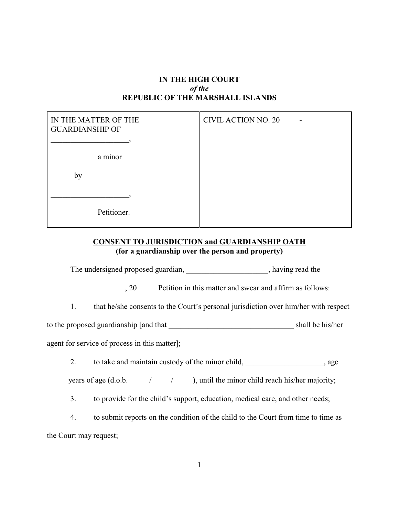## **IN THE HIGH COURT** *of the* **REPUBLIC OF THE MARSHALL ISLANDS**

| IN THE MATTER OF THE<br><b>GUARDIANSHIP OF</b> | <b>CIVIL ACTION NO. 20</b> |
|------------------------------------------------|----------------------------|
|                                                |                            |
| a minor                                        |                            |
| by                                             |                            |
|                                                |                            |
| Petitioner.                                    |                            |

## **CONSENT TO JURISDICTION and GUARDIANSHIP OATH (for a guardianship over the person and property)**

The undersigned proposed guardian, \_\_\_\_\_\_\_\_\_\_\_\_\_\_\_\_\_\_\_\_, having read the

20 Petition in this matter and swear and affirm as follows:

1. that he/she consents to the Court's personal jurisdiction over him/her with respect

to the proposed guardianship [and that \_\_\_\_\_\_\_\_\_\_\_\_\_\_\_\_\_\_\_\_\_\_\_\_\_\_\_\_\_\_\_\_ shall be his/her

agent for service of process in this matter];

2. to take and maintain custody of the minor child, \_\_\_\_\_\_\_\_\_\_\_\_\_\_\_\_, age

years of age (d.o.b.  $\frac{1}{\sqrt{2\pi}}$ ), until the minor child reach his/her majority;

3. to provide for the child's support, education, medical care, and other needs;

4. to submit reports on the condition of the child to the Court from time to time as the Court may request;